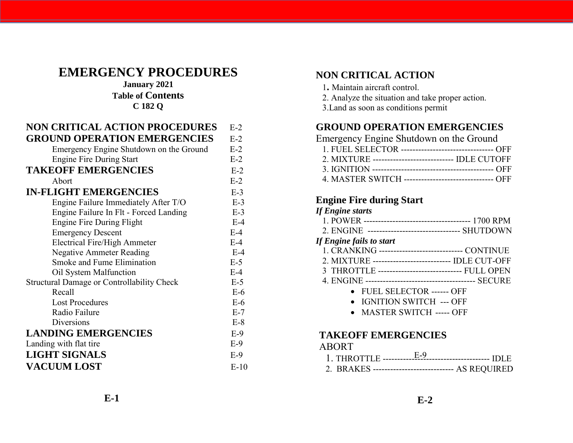# **EMERGENCY PROCEDURES**

### **January 2021 Table of Contents C 182 Q**

| <b>NON CRITICAL ACTION PROCEDURES</b>             | $E-2$  | <b>GROUND OPERATION</b>          |
|---------------------------------------------------|--------|----------------------------------|
| <b>GROUND OPERATION EMERGENCIES</b>               | $E-2$  | <b>Emergency Engine Shutdov</b>  |
| Emergency Engine Shutdown on the Ground           | $E-2$  | 1. FUEL SELECTOR ---------       |
| <b>Engine Fire During Start</b>                   | $E-2$  | 2. MIXTURE -------------------   |
| <b>TAKEOFF EMERGENCIES</b>                        | $E-2$  | 3. IGNITION -------------------  |
| Abort                                             | $E-2$  | 4. MASTER SWITCH --------        |
| <b>IN-FLIGHT EMERGENCIES</b>                      | $E-3$  |                                  |
| Engine Failure Immediately After T/O              | $E-3$  | <b>Engine Fire during Start</b>  |
| Engine Failure In Flt - Forced Landing            | $E-3$  | <b>If Engine starts</b>          |
| Engine Fire During Flight                         | $E-4$  | 1. POWER ----------------------- |
| <b>Emergency Descent</b>                          | $E-4$  | 2. ENGINE ---------------------- |
| <b>Electrical Fire/High Ammeter</b>               | $E-4$  | If Engine fails to start         |
| <b>Negative Ammeter Reading</b>                   | $E-4$  | 1. CRANKING -----------------    |
| Smoke and Fume Elimination                        | $E-5$  | 2. MIXTURE -------------------   |
| Oil System Malfunction                            | $E-4$  | 3 THROTTLE -----------------     |
| <b>Structural Damage or Controllability Check</b> | $E-5$  | 4. ENGINE ---------------------  |
| Recall                                            | $E-6$  | • FUEL SELECTOR                  |
| <b>Lost Procedures</b>                            | $E-6$  | • IGNITION SWITC                 |
| Radio Failure                                     | $E-7$  | • MASTER SWITC                   |
| Diversions                                        | $E-8$  |                                  |
| <b>LANDING EMERGENCIES</b>                        | $E-9$  | <b>TAKEOFF EMERGENG</b>          |
| Landing with flat tire                            | $E-9$  | <b>ABORT</b>                     |
| <b>LIGHT SIGNALS</b>                              | $E-9$  |                                  |
| <b>VACUUM LOST</b>                                | $E-10$ | 2. BRAKES -------------------    |

# **NON CRITICAL ACTION**

- 1**.** Maintain aircraft control.
- 2. Analyze the situation and take proper action.
- 3.Land as soon as conditions permit

# **GROUND OPERATION EMERGENCIES**

| Emergency Engine Shutdown on the Ground |                                                          |
|-----------------------------------------|----------------------------------------------------------|
|                                         | 1. FUEL SELECTOR ----------------------------------- OFF |
|                                         | 2. MIXTURE ---------------------------- IDLE CUTOFF      |
|                                         |                                                          |
|                                         | 4. MASTER SWITCH ------------------------------- OFF     |

### **Engine Fire during Start**

| <b>If Engine starts</b>                             |
|-----------------------------------------------------|
|                                                     |
| 2. ENGINE -------------------------------- SHUTDOWN |
| If Engine fails to start                            |
| 1. CRANKING ------------------------------ CONTINUE |
| 2. MIXTURE -------------------------- IDLE CUT-OFF  |
| 3 THROTTLE ----------------------------- FULL OPEN  |
|                                                     |
| • FUEL SELECTOR ------ OFF                          |
| <b>IGNITION SWITCH --- OFF</b>                      |
| <b>MASTER SWITCH ----- OFF</b>                      |
|                                                     |
| <b>TAKEOFF EMERGENCIES</b>                          |
| ABORT                                               |
| E <sub>0</sub>                                      |

| 2. BRAKES ----------------------------- AS REQUIRED |  |
|-----------------------------------------------------|--|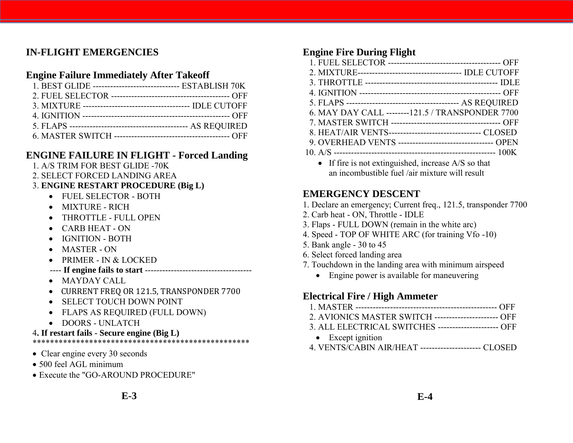# **IN-FLIGHT EMERGENCIES**

## **Engine Failure Immediately After Takeoff**

| 1. BEST GLIDE ------------------------------- ESTABLISH 70K |  |
|-------------------------------------------------------------|--|
|                                                             |  |
|                                                             |  |
|                                                             |  |
|                                                             |  |
|                                                             |  |

# **ENGINE FAILURE IN FLIGHT - Forced Landing**

- 1. A/S TRIM FOR BEST GLIDE -70K
- 2. SELECT FORCED LANDING AREA

### 3. **ENGINE RESTART PROCEDURE (Big L)**

- FUEL SELECTOR BOTH
- MIXTURE RICH
- THROTTLE FULL OPEN
- CARB HEAT ON
- IGNITION BOTH
- MASTER ON
- PRIMER IN & LOCKED
- ---- **If engine fails to start** -------------------------------------
- MAYDAY CALL
- CURRENT FREQ OR 121.5, TRANSPONDER 7700
- SELECT TOUCH DOWN POINT
- FLAPS AS REQUIRED (FULL DOWN)
- DOORS UNLATCH
- 4**. If restart fails - Secure engine (Big L)**

#### \*\*\*\*\*\*\*\*\*\*\*\*\*\*\*\*\*\*\*\*\*\*\*\*\*\*\*\*\*\*\*\*\*\*\*\*\*\*\*\*\*\*\*\*\*\*\*\*\*\*

- Clear engine every 30 seconds
- 500 feel AGL minimum
- Execute the "GO-AROUND PROCEDURE"

# **Engine Fire During Flight**

| 2. MIXTURE----------------------------------- IDLE CUTOFF                         |
|-----------------------------------------------------------------------------------|
|                                                                                   |
|                                                                                   |
|                                                                                   |
| 6. MAY DAY CALL --------121.5 / TRANSPONDER 7700                                  |
|                                                                                   |
| 8. HEAT/AIR VENTS--------------------------------- CLOSED                         |
| 9. OVERHEAD VENTS ---------------------------------- OPEN                         |
|                                                                                   |
| $\mathbf{F}$ . If fine is not extinguished increase $\Lambda/\mathcal{S}$ so that |

 $\bullet$  If fire is not extinguished, increase A/S so that an incombustible fuel /air mixture will result

# **EMERGENCY DESCENT**

- 1. Declare an emergency; Current freq., 121.5, transponder 7700
- 2. Carb heat ON, Throttle IDLE
- 3. Flaps FULL DOWN (remain in the white arc)
- 4. Speed TOP OF WHITE ARC (for training Vfo -10)
- 5. Bank angle 30 to 45
- 6. Select forced landing area
- 7. Touchdown in the landing area with minimum airspeed
	- Engine power is available for maneuvering

# **Electrical Fire / High Ammeter**

- 1. MASTER ------------------------------------------------- OFF
- 2. AVIONICS MASTER SWITCH ---------------------- OFF
- 3. ALL ELECTRICAL SWITCHES --------------------- OFF
- Except ignition
- 4. VENTS/CABIN AIR/HEAT --------------------- CLOSED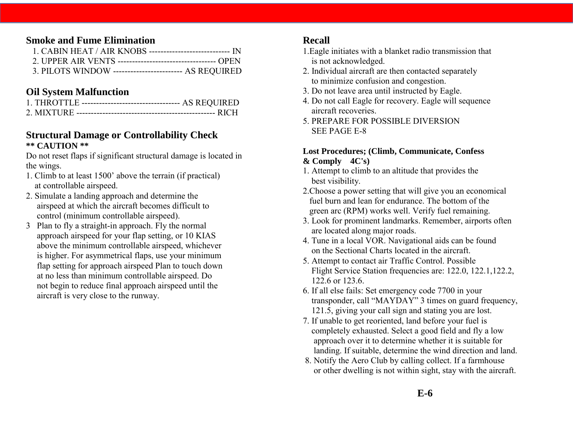### **Smoke and Fume Elimination**

| 3. PILOTS WINDOW ------------------------- AS REQUIRED |  |
|--------------------------------------------------------|--|

#### **Oil System Malfunction**

| 1. THROTTLE ---------------------------------- AS REQUIRED |
|------------------------------------------------------------|
|                                                            |

#### **Structural Damage or Controllability Check \*\* CAUTION \*\***

Do not reset flaps if significant structural damage is located in the wings.

- 1. Climb to at least 1500' above the terrain (if practical) at controllable airspeed.
- 2. Simulate a landing approach and determine the airspeed at which the aircraft becomes difficult to control (minimum controllable airspeed).
- 3 Plan to fly a straight-in approach. Fly the normal approach airspeed for your flap setting, or 10 KIAS above the minimum controllable airspeed, whichever is higher. For asymmetrical flaps, use your minimum flap setting for approach airspeed Plan to touch down at no less than minimum controllable airspeed. Do not begin to reduce final approach airspeed until the aircraft is very close to the runway.

#### **Recall**

- 1.Eagle initiates with a blanket radio transmission that is not acknowledged.
- 2. Individual aircraft are then contacted separately to minimize confusion and congestion.
- 3. Do not leave area until instructed by Eagle.
- 4. Do not call Eagle for recovery. Eagle will sequence aircraft recoveries.
- 5. PREPARE FOR POSSIBLE DIVERSION SEE PAGE E-8

#### **Lost Procedures; (Climb, Communicate, Confess & Comply 4C's)**

- 1. Attempt to climb to an altitude that provides the best visibility.
- 2.Choose a power setting that will give you an economical fuel burn and lean for endurance. The bottom of the green arc (RPM) works well. Verify fuel remaining.
- 3. Look for prominent landmarks. Remember, airports often are located along major roads.
- 4. Tune in a local VOR. Navigational aids can be found on the Sectional Charts located in the aircraft.
- 5. Attempt to contact air Traffic Control. Possible Flight Service Station frequencies are: 122.0, 122.1,122.2, 122.6 or 123.6.
- 6. If all else fails: Set emergency code 7700 in your transponder, call "MAYDAY" 3 times on guard frequency, 121.5, giving your call sign and stating you are lost.
- 7. If unable to get reoriented, land before your fuel is completely exhausted. Select a good field and fly a low approach over it to determine whether it is suitable for landing. If suitable, determine the wind direction and land.
- 8. Notify the Aero Club by calling collect. If a farmhouse or other dwelling is not within sight, stay with the aircraft.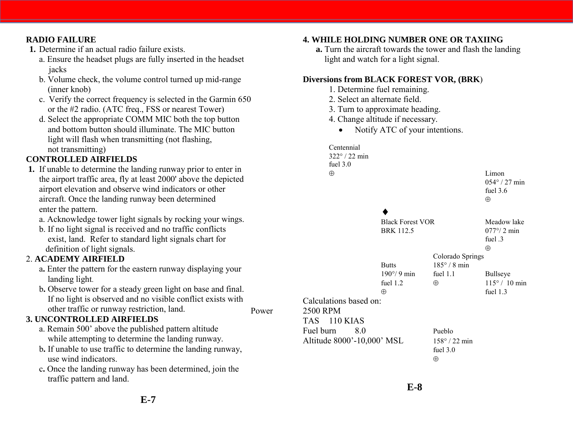#### **RADIO FAILURE**

- **1.** Determine if an actual radio failure exists.
	- a. Ensure the headset plugs are fully inserted in the headset jacks
	- b. Volume check, the volume control turned up mid-range (inner knob)
	- c. Verify the correct frequency is selected in the Garmin 650 or the #2 radio. (ATC freq., FSS or nearest Tower)
	- d. Select the appropriate COMM MIC both the top button and bottom button should illuminate. The MIC button light will flash when transmitting (not flashing, not transmitting)

#### **CONTROLLED AIRFIELDS**

- **1.** If unable to determine the landing runway prior to enter in the airport traffic area, fly at least 2000' above the depicted airport elevation and observe wind indicators or other aircraft. Once the landing runway been determined enter the pattern.
	- a. Acknowledge tower light signals by rocking your wings.
	- b. If no light signal is received and no traffic conflicts exist, land. Refer to standard light signals chart for definition of light signals.

#### 2. **ACADEMY AIRFIELD**

- a**.** Enter the pattern for the eastern runway displaying your landing light.
- b**.** Observe tower for a steady green light on base and final. If no light is observed and no visible conflict exists with other traffic or runway restriction, land.

#### **3. UNCONTROLLED AIRFIELDS**

- a. Remain 500' above the published pattern altitude while attempting to determine the landing runway.
- b**.** If unable to use traffic to determine the landing runway, use wind indicators.
- c**.** Once the landing runway has been determined, join the traffic pattern and land.

#### **4. WHILE HOLDING NUMBER ONE OR TAXIING**

**a.** Turn the aircraft towards the tower and flash the landing light and watch for a light signal.

#### **Diversions from BLACK FOREST VOR, (BRK**)

- 1. Determine fuel remaining.
- 2. Select an alternate field.
- 3. Turn to approximate heading.
- 4. Change altitude if necessary.
	- Notify ATC of your intentions.

Centennial 322 / 22 min fuel 3.0  $\oplus$  Limon  $054^{\circ}$  / 27 min fuel 3.6  $\oplus$  $\blacklozenge$ Black Forest VOR Meadow lake BRK 112.5  $077^{\circ}/2$  min fuel  $3$  $\oplus$ Colorado Springs Butts  $185^\circ / 8 \text{ min}$  $190^{\circ}/9$  min fuel 1.1 Bullseye fuel 1.2  $\oplus$  115° / 10 min  $\oplus$  fuel 1.3 Calculations based on: Power 2500 RPM TAS 110 KIAS Fuel burn 8.0 Pueblo Altitude 8000'-10,000' MSL 158° / 22 min fuel 3.0  $\oplus$